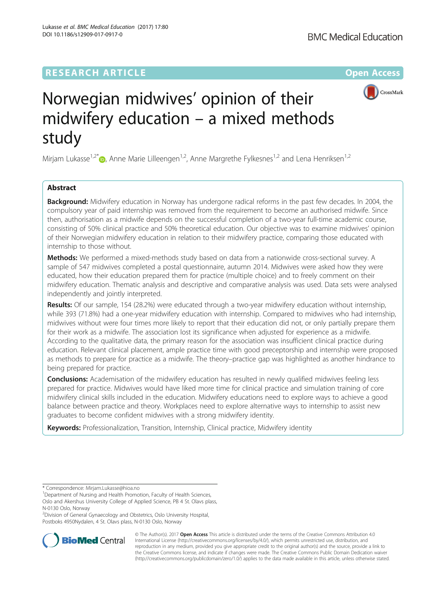## **RESEARCH ARTICLE External Structure Community Community Community Community Community Community Community Community**



# Norwegian midwives' opinion of their midwifery education – a mixed methods study

Mirjam Lukasse<sup>1[,](http://orcid.org/0000-0002-9873-4023)2\*</sup>  $\odot$ , Anne Marie Lilleengen<sup>1,2</sup>, Anne Margrethe Fylkesnes<sup>1,2</sup> and Lena Henriksen<sup>1,2</sup>

## Abstract

**Background:** Midwifery education in Norway has undergone radical reforms in the past few decades. In 2004, the compulsory year of paid internship was removed from the requirement to become an authorised midwife. Since then, authorisation as a midwife depends on the successful completion of a two-year full-time academic course, consisting of 50% clinical practice and 50% theoretical education. Our objective was to examine midwives' opinion of their Norwegian midwifery education in relation to their midwifery practice, comparing those educated with internship to those without.

Methods: We performed a mixed-methods study based on data from a nationwide cross-sectional survey. A sample of 547 midwives completed a postal questionnaire, autumn 2014. Midwives were asked how they were educated, how their education prepared them for practice (multiple choice) and to freely comment on their midwifery education. Thematic analysis and descriptive and comparative analysis was used. Data sets were analysed independently and jointly interpreted.

Results: Of our sample, 154 (28.2%) were educated through a two-year midwifery education without internship, while 393 (71.8%) had a one-year midwifery education with internship. Compared to midwives who had internship, midwives without were four times more likely to report that their education did not, or only partially prepare them for their work as a midwife. The association lost its significance when adjusted for experience as a midwife. According to the qualitative data, the primary reason for the association was insufficient clinical practice during education. Relevant clinical placement, ample practice time with good preceptorship and internship were proposed as methods to prepare for practice as a midwife. The theory–practice gap was highlighted as another hindrance to being prepared for practice.

**Conclusions:** Academisation of the midwifery education has resulted in newly qualified midwives feeling less prepared for practice. Midwives would have liked more time for clinical practice and simulation training of core midwifery clinical skills included in the education. Midwifery educations need to explore ways to achieve a good balance between practice and theory. Workplaces need to explore alternative ways to internship to assist new graduates to become confident midwives with a strong midwifery identity.

Keywords: Professionalization, Transition, Internship, Clinical practice, Midwifery identity

2 Division of General Gynaecology and Obstetrics, Oslo University Hospital, Postboks 4950Nydalen, 4 St. Olavs plass, N-0130 Oslo, Norway



© The Author(s). 2017 **Open Access** This article is distributed under the terms of the Creative Commons Attribution 4.0 International License [\(http://creativecommons.org/licenses/by/4.0/](http://creativecommons.org/licenses/by/4.0/)), which permits unrestricted use, distribution, and reproduction in any medium, provided you give appropriate credit to the original author(s) and the source, provide a link to the Creative Commons license, and indicate if changes were made. The Creative Commons Public Domain Dedication waiver [\(http://creativecommons.org/publicdomain/zero/1.0/](http://creativecommons.org/publicdomain/zero/1.0/)) applies to the data made available in this article, unless otherwise stated.

<sup>\*</sup> Correspondence: [Mirjam.Lukasse@hioa.no](mailto:Mirjam.Lukasse@hioa.no) <sup>1</sup>

<sup>&</sup>lt;sup>1</sup>Department of Nursing and Health Promotion, Faculty of Health Sciences, Oslo and Akershus University College of Applied Science, PB 4 St. Olavs plass, N-0130 Oslo, Norway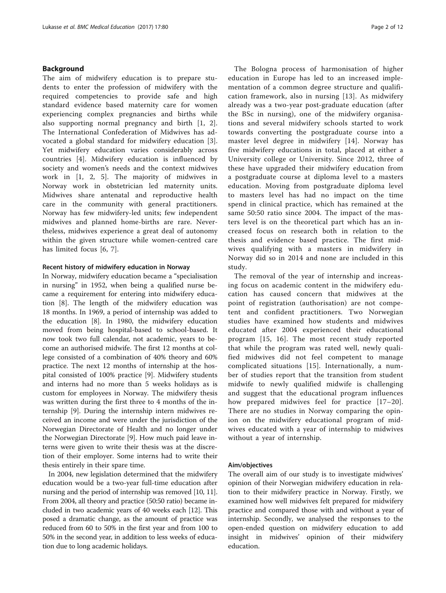## Background

The aim of midwifery education is to prepare students to enter the profession of midwifery with the required competencies to provide safe and high standard evidence based maternity care for women experiencing complex pregnancies and births while also supporting normal pregnancy and birth [[1, 2](#page-10-0)]. The International Confederation of Midwives has advocated a global standard for midwifery education [[3](#page-10-0)]. Yet midwifery education varies considerably across countries [[4](#page-10-0)]. Midwifery education is influenced by society and women's needs and the context midwives work in [[1, 2, 5\]](#page-10-0). The majority of midwives in Norway work in obstetrician led maternity units. Midwives share antenatal and reproductive health care in the community with general practitioners. Norway has few midwifery-led units; few independent midwives and planned home-births are rare. Nevertheless, midwives experience a great deal of autonomy within the given structure while women-centred care has limited focus [[6, 7](#page-10-0)].

#### Recent history of midwifery education in Norway

In Norway, midwifery education became a "specialisation in nursing" in 1952, when being a qualified nurse became a requirement for entering into midwifery education [[8\]](#page-10-0). The length of the midwifery education was 18 months. In 1969, a period of internship was added to the education [\[8](#page-10-0)]. In 1980, the midwifery education moved from being hospital-based to school-based. It now took two full calendar, not academic, years to become an authorised midwife. The first 12 months at college consisted of a combination of 40% theory and 60% practice. The next 12 months of internship at the hospital consisted of 100% practice [[9\]](#page-10-0). Midwifery students and interns had no more than 5 weeks holidays as is custom for employees in Norway. The midwifery thesis was written during the first three to 4 months of the internship [[9\]](#page-10-0). During the internship intern midwives received an income and were under the jurisdiction of the Norwegian Directorate of Health and no longer under the Norwegian Directorate [[9\]](#page-10-0). How much paid leave interns were given to write their thesis was at the discretion of their employer. Some interns had to write their thesis entirely in their spare time.

In 2004, new legislation determined that the midwifery education would be a two-year full-time education after nursing and the period of internship was removed [\[10](#page-10-0), [11](#page-10-0)]. From 2004, all theory and practice (50:50 ratio) became included in two academic years of 40 weeks each [[12](#page-10-0)]. This posed a dramatic change, as the amount of practice was reduced from 60 to 50% in the first year and from 100 to 50% in the second year, in addition to less weeks of education due to long academic holidays.

The Bologna process of harmonisation of higher education in Europe has led to an increased implementation of a common degree structure and qualification framework, also in nursing [[13](#page-10-0)]. As midwifery already was a two-year post-graduate education (after the BSc in nursing), one of the midwifery organisations and several midwifery schools started to work towards converting the postgraduate course into a master level degree in midwifery [[14](#page-10-0)]. Norway has five midwifery educations in total, placed at either a University college or University. Since 2012, three of these have upgraded their midwifery education from a postgraduate course at diploma level to a masters education. Moving from postgraduate diploma level to masters level has had no impact on the time spend in clinical practice, which has remained at the same 50:50 ratio since 2004. The impact of the masters level is on the theoretical part which has an increased focus on research both in relation to the thesis and evidence based practice. The first midwives qualifying with a masters in midwifery in Norway did so in 2014 and none are included in this study.

The removal of the year of internship and increasing focus on academic content in the midwifery education has caused concern that midwives at the point of registration (authorisation) are not competent and confident practitioners. Two Norwegian studies have examined how students and midwives educated after 2004 experienced their educational program [\[15, 16](#page-10-0)]. The most recent study reported that while the program was rated well, newly qualified midwives did not feel competent to manage complicated situations [[15\]](#page-10-0). Internationally, a number of studies report that the transition from student midwife to newly qualified midwife is challenging and suggest that the educational program influences how prepared midwives feel for practice [[17](#page-10-0)–[20](#page-10-0)]. There are no studies in Norway comparing the opinion on the midwifery educational program of midwives educated with a year of internship to midwives without a year of internship.

#### Aim/objectives

The overall aim of our study is to investigate midwives' opinion of their Norwegian midwifery education in relation to their midwifery practice in Norway. Firstly, we examined how well midwives felt prepared for midwifery practice and compared those with and without a year of internship. Secondly, we analysed the responses to the open-ended question on midwifery education to add insight in midwives' opinion of their midwifery education.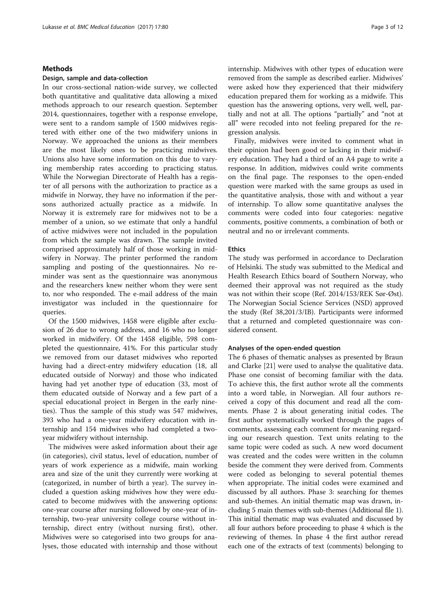#### Methods

#### Design, sample and data-collection

In our cross-sectional nation-wide survey, we collected both quantitative and qualitative data allowing a mixed methods approach to our research question. September 2014, questionnaires, together with a response envelope, were sent to a random sample of 1500 midwives registered with either one of the two midwifery unions in Norway. We approached the unions as their members are the most likely ones to be practicing midwives. Unions also have some information on this due to varying membership rates according to practicing status. While the Norwegian Directorate of Health has a register of all persons with the authorization to practice as a midwife in Norway, they have no information if the persons authorized actually practice as a midwife. In Norway it is extremely rare for midwives not to be a member of a union, so we estimate that only a handful of active midwives were not included in the population from which the sample was drawn. The sample invited comprised approximately half of those working in midwifery in Norway. The printer performed the random sampling and posting of the questionnaires. No reminder was sent as the questionnaire was anonymous and the researchers knew neither whom they were sent to, nor who responded. The e-mail address of the main investigator was included in the questionnaire for queries.

Of the 1500 midwives, 1458 were eligible after exclusion of 26 due to wrong address, and 16 who no longer worked in midwifery. Of the 1458 eligible, 598 completed the questionnaire, 41%. For this particular study we removed from our dataset midwives who reported having had a direct-entry midwifery education (18, all educated outside of Norway) and those who indicated having had yet another type of education (33, most of them educated outside of Norway and a few part of a special educational project in Bergen in the early nineties). Thus the sample of this study was 547 midwives, 393 who had a one-year midwifery education with internship and 154 midwives who had completed a twoyear midwifery without internship.

The midwives were asked information about their age (in categories), civil status, level of education, number of years of work experience as a midwife, main working area and size of the unit they currently were working at (categorized, in number of birth a year). The survey included a question asking midwives how they were educated to become midwives with the answering options: one-year course after nursing followed by one-year of internship, two-year university college course without internship, direct entry (without nursing first), other. Midwives were so categorised into two groups for analyses, those educated with internship and those without internship. Midwives with other types of education were removed from the sample as described earlier. Midwives' were asked how they experienced that their midwifery education prepared them for working as a midwife. This question has the answering options, very well, well, partially and not at all. The options "partially" and "not at all" were recoded into not feeling prepared for the regression analysis.

Finally, midwives were invited to comment what in their opinion had been good or lacking in their midwifery education. They had a third of an A4 page to write a response. In addition, midwives could write comments on the final page. The responses to the open-ended question were marked with the same groups as used in the quantitative analysis, those with and without a year of internship. To allow some quantitative analyses the comments were coded into four categories: negative comments, positive comments, a combination of both or neutral and no or irrelevant comments.

#### Ethics

The study was performed in accordance to Declaration of Helsinki. The study was submitted to the Medical and Health Research Ethics board of Southern Norway, who deemed their approval was not required as the study was not within their scope (Ref. 2014/153/REK Sør-Øst). The Norwegian Social Science Services (NSD) approved the study (Ref 38,201/3/IB). Participants were informed that a returned and completed questionnaire was considered consent.

#### Analyses of the open-ended question

The 6 phases of thematic analyses as presented by Braun and Clarke [\[21](#page-10-0)] were used to analyse the qualitative data. Phase one consist of becoming familiar with the data. To achieve this, the first author wrote all the comments into a word table, in Norwegian. All four authors received a copy of this document and read all the comments. Phase 2 is about generating initial codes. The first author systematically worked through the pages of comments, assessing each comment for meaning regarding our research question. Text units relating to the same topic were coded as such. A new word document was created and the codes were written in the column beside the comment they were derived from. Comments were coded as belonging to several potential themes when appropriate. The initial codes were examined and discussed by all authors. Phase 3: searching for themes and sub-themes. An initial thematic map was drawn, including 5 main themes with sub-themes (Additional file [1](#page-10-0)). This initial thematic map was evaluated and discussed by all four authors before proceeding to phase 4 which is the reviewing of themes. In phase 4 the first author reread each one of the extracts of text (comments) belonging to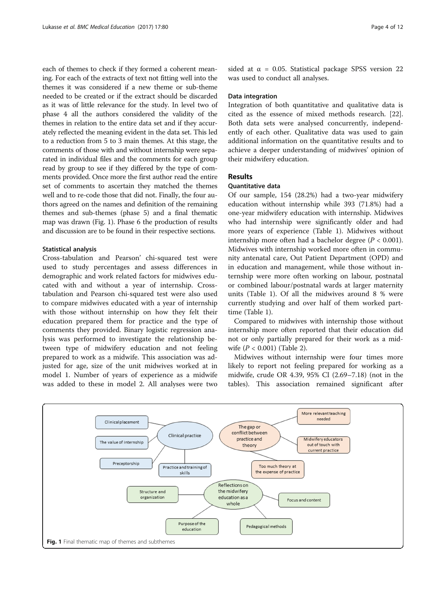each of themes to check if they formed a coherent meaning. For each of the extracts of text not fitting well into the themes it was considered if a new theme or sub-theme needed to be created or if the extract should be discarded as it was of little relevance for the study. In level two of phase 4 all the authors considered the validity of the themes in relation to the entire data set and if they accurately reflected the meaning evident in the data set. This led to a reduction from 5 to 3 main themes. At this stage, the comments of those with and without internship were separated in individual files and the comments for each group read by group to see if they differed by the type of comments provided. Once more the first author read the entire set of comments to ascertain they matched the themes well and to re-code those that did not. Finally, the four authors agreed on the names and definition of the remaining themes and sub-themes (phase 5) and a final thematic map was drawn (Fig. 1). Phase 6 the production of results and discussion are to be found in their respective sections.

## Statistical analysis

Cross-tabulation and Pearson' chi-squared test were used to study percentages and assess differences in demographic and work related factors for midwives educated with and without a year of internship. Crosstabulation and Pearson chi-squared test were also used to compare midwives educated with a year of internship with those without internship on how they felt their education prepared them for practice and the type of comments they provided. Binary logistic regression analysis was performed to investigate the relationship between type of midwifery education and not feeling prepared to work as a midwife. This association was adjusted for age, size of the unit midwives worked at in model 1. Number of years of experience as a midwife was added to these in model 2. All analyses were two sided at  $\alpha$  = 0.05. Statistical package SPSS version 22 was used to conduct all analyses.

#### Data integration

Integration of both quantitative and qualitative data is cited as the essence of mixed methods research. [\[22](#page-10-0)]. Both data sets were analysed concurrently, independently of each other. Qualitative data was used to gain additional information on the quantitative results and to achieve a deeper understanding of midwives' opinion of their midwifery education.

## **Results**

#### Quantitative data

Of our sample, 154 (28.2%) had a two-year midwifery education without internship while 393 (71.8%) had a one-year midwifery education with internship. Midwives who had internship were significantly older and had more years of experience (Table [1](#page-4-0)). Midwives without internship more often had a bachelor degree ( $P < 0.001$ ). Midwives with internship worked more often in community antenatal care, Out Patient Department (OPD) and in education and management, while those without internship were more often working on labour, postnatal or combined labour/postnatal wards at larger maternity units (Table [1\)](#page-4-0). Of all the midwives around 8 % were currently studying and over half of them worked parttime (Table [1](#page-4-0)).

Compared to midwives with internship those without internship more often reported that their education did not or only partially prepared for their work as a midwife  $(P < 0.001)$  (Table [2](#page-5-0)).

Midwives without internship were four times more likely to report not feeling prepared for working as a midwife, crude OR 4.39, 95% CI (2.69–7.18) (not in the tables). This association remained significant after

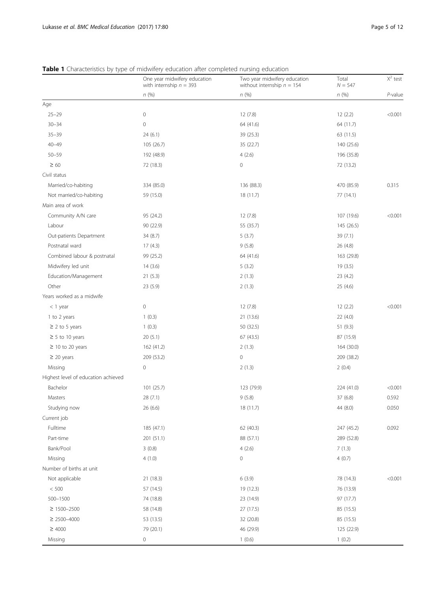<span id="page-4-0"></span>Table 1 Characteristics by type of midwifery education after completed

| nursing education            |       |  |
|------------------------------|-------|--|
| Two year midwifery education | Total |  |

|                                     | One year midwifery education<br>with internship $n = 393$ | Two year midwifery education<br>without internship $n = 154$ | Total<br>$N = 547$ | $X^2$ test |
|-------------------------------------|-----------------------------------------------------------|--------------------------------------------------------------|--------------------|------------|
|                                     | $n\ (\%)$                                                 | n(%)                                                         | n(%)               | P-value    |
| Age                                 |                                                           |                                                              |                    |            |
| $25 - 29$                           | $\circ$                                                   | 12(7.8)                                                      | 12(2.2)            | < 0.001    |
| $30 - 34$                           | $\mathsf{O}\xspace$                                       | 64 (41.6)                                                    | 64 (11.7)          |            |
| $35 - 39$                           | 24(6.1)                                                   | 39 (25.3)                                                    | 63 (11.5)          |            |
| $40 - 49$                           | 105 (26.7)                                                | 35 (22.7)                                                    | 140 (25.6)         |            |
| $50 - 59$                           | 192 (48.9)                                                | 4(2.6)                                                       | 196 (35.8)         |            |
| $\geq 60$                           | 72 (18.3)                                                 | $\circ$                                                      | 72 (13.2)          |            |
| Civil status                        |                                                           |                                                              |                    |            |
| Married/co-habiting                 | 334 (85.0)                                                | 136 (88.3)                                                   | 470 (85.9)         | 0.315      |
| Not married/co-habiting             | 59 (15.0)                                                 | 18(11.7)                                                     | 77 (14.1)          |            |
| Main area of work                   |                                                           |                                                              |                    |            |
| Community A/N care                  | 95 (24.2)                                                 | 12 (7.8)                                                     | 107 (19.6)         | < 0.001    |
| Labour                              | 90 (22.9)                                                 | 55 (35.7)                                                    | 145 (26.5)         |            |
| Out-patients Department             | 34 (8.7)                                                  | 5(3.7)                                                       | 39 (7.1)           |            |
| Postnatal ward                      | 17(4.3)                                                   | 9(5.8)                                                       | 26 (4.8)           |            |
| Combined labour & postnatal         | 99 (25.2)                                                 | 64 (41.6)                                                    | 163 (29.8)         |            |
| Midwifery led unit                  | 14(3.6)                                                   | 5(3.2)                                                       | 19(3.5)            |            |
| Education/Management                | 21(5.3)                                                   | 2(1.3)                                                       | 23 (4.2)           |            |
| Other                               | 23 (5.9)                                                  | 2(1.3)                                                       | 25 (4.6)           |            |
| Years worked as a midwife           |                                                           |                                                              |                    |            |
| $<$ 1 year                          | $\circ$                                                   | 12(7.8)                                                      | 12(2.2)            | < 0.001    |
| 1 to 2 years                        | 1(0.3)                                                    | 21 (13.6)                                                    | 22 (4.0)           |            |
| $\geq$ 2 to 5 years                 | 1(0.3)                                                    | 50 (32.5)                                                    | 51 (9.3)           |            |
| $\geq$ 5 to 10 years                | 20(5.1)                                                   | 67 (43.5)                                                    | 87 (15.9)          |            |
| $\geq$ 10 to 20 years               | 162 (41.2)                                                | 2(1.3)                                                       | 164 (30.0)         |            |
| $\geq$ 20 years                     | 209 (53.2)                                                | $\circ$                                                      | 209 (38.2)         |            |
| Missing                             | 0                                                         | 2(1.3)                                                       | 2(0.4)             |            |
| Highest level of education achieved |                                                           |                                                              |                    |            |
| Bachelor                            | 101 (25.7)                                                | 123 (79.9)                                                   | 224 (41.0)         | < 0.001    |
| Masters                             | 28 (7.1)                                                  | 9(5.8)                                                       | 37 (6.8)           | 0.592      |
| Studying now                        | 26 (6.6)                                                  | 18 (11.7)                                                    | 44 (8.0)           | 0.050      |
| Current job                         |                                                           |                                                              |                    |            |
| Fulltime                            | 185 (47.1)                                                | 62 (40.3)                                                    | 247 (45.2)         | 0.092      |
| Part-time                           | 201 (51.1)                                                | 88 (57.1)                                                    | 289 (52.8)         |            |
| Bank/Pool                           | 3(0.8)                                                    | 4(2.6)                                                       | 7(1.3)             |            |
| Missing                             | 4(1.0)                                                    | $\mathbb O$                                                  | 4(0.7)             |            |
| Number of births at unit            |                                                           |                                                              |                    |            |
| Not applicable                      | 21 (18.3)                                                 | 6(3.9)                                                       | 78 (14.3)          | < 0.001    |
| < 500                               | 57 (14.5)                                                 | 19 (12.3)                                                    | 76 (13.9)          |            |
| 500-1500                            | 74 (18.8)                                                 | 23 (14.9)                                                    | 97 (17.7)          |            |
| $\geq$ 1500-2500                    | 58 (14.8)                                                 | 27 (17.5)                                                    | 85 (15.5)          |            |
| $\geq$ 2500-4000                    | 53 (13.5)                                                 | 32 (20.8)                                                    | 85 (15.5)          |            |
| $\geq 4000$                         | 79 (20.1)                                                 | 46 (29.9)                                                    | 125 (22.9)         |            |
| Missing                             | $\mathbb O$                                               | 1(0.6)                                                       | 1(0.2)             |            |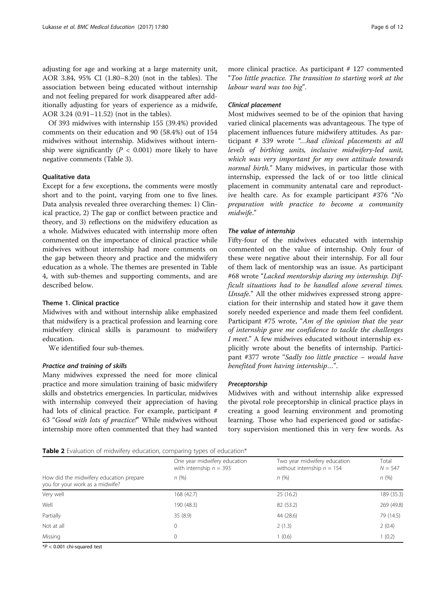<span id="page-5-0"></span>adjusting for age and working at a large maternity unit, AOR 3.84, 95% CI (1.80–8.20) (not in the tables). The association between being educated without internship and not feeling prepared for work disappeared after additionally adjusting for years of experience as a midwife, AOR 3.24 (0.91–11.52) (not in the tables).

Of 393 midwives with internship 155 (39.4%) provided comments on their education and 90 (58.4%) out of 154 midwives without internship. Midwives without internship were significantly ( $P < 0.001$ ) more likely to have negative comments (Table [3](#page-6-0)).

## Qualitative data

Except for a few exceptions, the comments were mostly short and to the point, varying from one to five lines. Data analysis revealed three overarching themes: 1) Clinical practice, 2) The gap or conflict between practice and theory, and 3) reflections on the midwifery education as a whole. Midwives educated with internship more often commented on the importance of clinical practice while midwives without internship had more comments on the gap between theory and practice and the midwifery education as a whole. The themes are presented in Table [4,](#page-7-0) with sub-themes and supporting comments, and are described below.

## Theme 1. Clinical practice

Midwives with and without internship alike emphasized that midwifery is a practical profession and learning core midwifery clinical skills is paramount to midwifery education.

We identified four sub-themes.

#### Practice and training of skills

Many midwives expressed the need for more clinical practice and more simulation training of basic midwifery skills and obstetrics emergencies. In particular, midwives with internship conveyed their appreciation of having had lots of clinical practice. For example, participant # 63 "Good with lots of practice!" While midwives without internship more often commented that they had wanted more clinical practice. As participant # 127 commented "Too little practice. The transition to starting work at the labour ward was too big".

## Clinical placement

Most midwives seemed to be of the opinion that having varied clinical placements was advantageous. The type of placement influences future midwifery attitudes. As participant # 339 wrote "…had clinical placements at all levels of birthing units, inclusive midwifery-led unit, which was very important for my own attitude towards normal birth." Many midwives, in particular those with internship, expressed the lack of or too little clinical placement in community antenatal care and reproductive health care. As for example participant #376 "No preparation with practice to become a community midwife."

#### The value of internship

Fifty-four of the midwives educated with internship commented on the value of internship. Only four of these were negative about their internship. For all four of them lack of mentorship was an issue. As participant #68 wrote "Lacked mentorship during my internship. Difficult situations had to be handled alone several times. Unsafe." All the other midwives expressed strong appreciation for their internship and stated how it gave them sorely needed experience and made them feel confident. Participant #75 wrote, "Am of the opinion that the year of internship gave me confidence to tackle the challenges I meet." A few midwives educated without internship explicitly wrote about the benefits of internship. Participant #377 wrote "Sadly too little practice – would have benefited from having internship…".

## Preceptorship

Midwives with and without internship alike expressed the pivotal role preceptorship in clinical practice plays in creating a good learning environment and promoting learning. Those who had experienced good or satisfactory supervision mentioned this in very few words. As

#### Table 2 Evaluation of midwifery education, comparing types of education\*

|                                                                            | One year midwifery education<br>with internship $n = 393$ | Two year midwifery education<br>without internship $n = 154$ | Total<br>$N = 547$ |
|----------------------------------------------------------------------------|-----------------------------------------------------------|--------------------------------------------------------------|--------------------|
| How did the midwifery education prepare<br>you for your work as a midwife? | n(%)                                                      | n(%)                                                         | n(%)               |
| Very well                                                                  | 168 (42.7)                                                | 25(16.2)                                                     | 189 (35.3)         |
| Well                                                                       | 190 (48.3)                                                | 82 (53.2)                                                    | 269 (49.8)         |
| Partially                                                                  | 35(8.9)                                                   | 44 (28.6)                                                    | 79 (14.5)          |
| Not at all                                                                 | $\Omega$                                                  | 2(1.3)                                                       | 2(0.4)             |
| Missing                                                                    |                                                           | 1(0.6)                                                       | 1(0.2)             |

 $*P < 0.001$  chi-squared test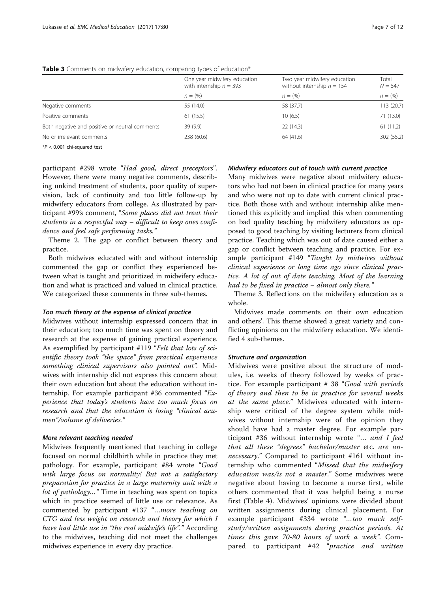|                                                | One year midwifery education<br>with internship $n = 393$ | Two year midwifery education<br>without internship $n = 154$ | Total<br>$N = 547$ |  |
|------------------------------------------------|-----------------------------------------------------------|--------------------------------------------------------------|--------------------|--|
|                                                | $n = (% )$                                                | $n = (% )$                                                   | $n = (% )$         |  |
| Negative comments                              | 55 (14.0)                                                 | 58 (37.7)                                                    | 113 (20.7)         |  |
| Positive comments                              | 61(15.5)                                                  | 10(6.5)                                                      | 71 (13.0)          |  |
| Both negative and positive or neutral comments | 39(9.9)                                                   | 22(14.3)                                                     | 61(11.2)           |  |
| No or irrelevant comments                      | 238 (60.6)                                                | 64 (41.6)                                                    | 302 (55.2)         |  |

#### <span id="page-6-0"></span>Table 3 Comments on midwifery education, comparing types of education\*

 $*P < 0.001$  chi-squared test

participant #298 wrote "Had good, direct preceptors". However, there were many negative comments, describing unkind treatment of students, poor quality of supervision, lack of continuity and too little follow-up by midwifery educators from college. As illustrated by participant #99's comment, "Some places did not treat their students in a respectful way – difficult to keep ones confidence and feel safe performing tasks."

Theme 2. The gap or conflict between theory and practice.

Both midwives educated with and without internship commented the gap or conflict they experienced between what is taught and prioritized in midwifery education and what is practiced and valued in clinical practice. We categorized these comments in three sub-themes.

#### Too much theory at the expense of clinical practice

Midwives without internship expressed concern that in their education; too much time was spent on theory and research at the expense of gaining practical experience. As exemplified by participant #119 "Felt that lots of scientific theory took "the space" from practical experience something clinical supervisors also pointed out". Midwives with internship did not express this concern about their own education but about the education without internship. For example participant #36 commented "Experience that today's students have too much focus on research and that the education is losing "clinical acumen"/volume of deliveries."

#### More relevant teaching needed

Midwives frequently mentioned that teaching in college focused on normal childbirth while in practice they met pathology. For example, participant #84 wrote "Good with large focus on normality! But not a satisfactory preparation for practice in a large maternity unit with a lot of pathology…" Time in teaching was spent on topics which in practice seemed of little use or relevance. As commented by participant #137 "…more teaching on CTG and less weight on research and theory for which I have had little use in "the real midwife's life"." According to the midwives, teaching did not meet the challenges midwives experience in every day practice.

#### Midwifery educators out of touch with current practice

Many midwives were negative about midwifery educators who had not been in clinical practice for many years and who were not up to date with current clinical practice. Both those with and without internship alike mentioned this explicitly and implied this when commenting on bad quality teaching by midwifery educators as opposed to good teaching by visiting lecturers from clinical practice. Teaching which was out of date caused either a gap or conflict between teaching and practice. For example participant #149 "Taught by midwives without clinical experience or long time ago since clinical practice. A lot of out of date teaching. Most of the learning had to be fixed in practice – almost only there."

Theme 3. Reflections on the midwifery education as a whole.

Midwives made comments on their own education and others'. This theme showed a great variety and conflicting opinions on the midwifery education. We identified 4 sub-themes.

#### Structure and organization

Midwives were positive about the structure of modules, i.e. weeks of theory followed by weeks of practice. For example participant # 38 "Good with periods of theory and then to be in practice for several weeks at the same place." Midwives educated with internship were critical of the degree system while midwives without internship were of the opinion they should have had a master degree. For example participant #36 without internship wrote "… and I feel that all these "degrees" bachelor/master etc. are unnecessary." Compared to participant #161 without internship who commented "Missed that the midwifery education was/is not a master." Some midwives were negative about having to become a nurse first, while others commented that it was helpful being a nurse first (Table [4\)](#page-7-0). Midwives' opinions were divided about written assignments during clinical placement. For example participant #334 wrote "…too much selfstudy/written assignments during practice periods. At times this gave 70-80 hours of work a week". Compared to participant #42 "practice and written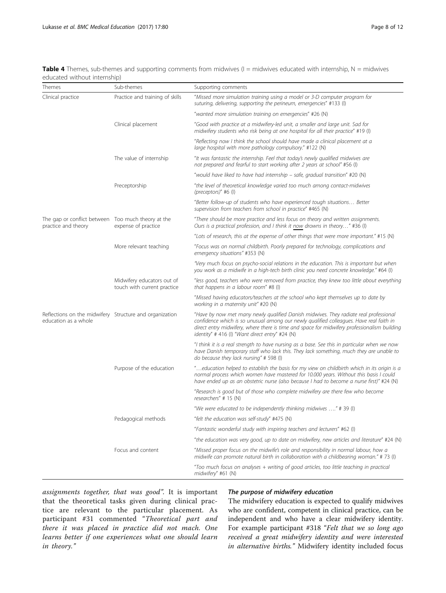<span id="page-7-0"></span>

| <b>Table 4</b> Themes, sub-themes and supporting comments from midwives ( $I =$ midwives educated with internship, $N =$ midwives |  |  |
|-----------------------------------------------------------------------------------------------------------------------------------|--|--|
| educated without internship)                                                                                                      |  |  |

| Themes                                                                          | Sub-themes                                                | Supporting comments                                                                                                                                                                                                                                                                                                                 |
|---------------------------------------------------------------------------------|-----------------------------------------------------------|-------------------------------------------------------------------------------------------------------------------------------------------------------------------------------------------------------------------------------------------------------------------------------------------------------------------------------------|
| Clinical practice                                                               | Practice and training of skills                           | "Missed more simulation training using a model or 3-D computer program for<br>suturing, delivering, supporting the perineum, emergencies" #133 (I)                                                                                                                                                                                  |
|                                                                                 |                                                           | "wanted more simulation training on emergencies" #26 (N)                                                                                                                                                                                                                                                                            |
|                                                                                 | Clinical placement                                        | "Good with practice at a midwifery-led unit, a smaller and large unit. Sad for<br>midwifery students who risk being at one hospital for all their practice" #19 (I)                                                                                                                                                                 |
|                                                                                 |                                                           | "Reflecting now I think the school should have made a clinical placement at a<br>large hospital with more pathology compulsory." #122 (N)                                                                                                                                                                                           |
|                                                                                 | The value of internship                                   | "It was fantastic the internship. Feel that today's newly qualified midwives are<br>not prepared and fearful to start working after 2 years at school" #56 (I)                                                                                                                                                                      |
|                                                                                 |                                                           | "would have liked to have had internship - safe, gradual transition" #20 (N)                                                                                                                                                                                                                                                        |
|                                                                                 | Preceptorship                                             | "the level of theoretical knowledge varied too much among contact-midwives<br>(preceptors)" #6 (I)                                                                                                                                                                                                                                  |
|                                                                                 |                                                           | "Better follow-up of students who have experienced tough situations Better<br>supervision from teachers from school in practice" #465 (N)                                                                                                                                                                                           |
| The gap or conflict between Too much theory at the<br>practice and theory       | expense of practice                                       | "There should be more practice and less focus on theory and written assignments.<br>Ours is a practical profession, and I think it now drowns in theory" #36 (I)                                                                                                                                                                    |
|                                                                                 |                                                           | "Lots of research, this at the expense of other things that were more important." #15 (N)                                                                                                                                                                                                                                           |
|                                                                                 | More relevant teaching                                    | "Focus was on normal childbirth. Poorly prepared for technology, complications and<br>emergency situations" #353 (N)                                                                                                                                                                                                                |
|                                                                                 |                                                           | "Very much focus on psycho-social relations in the education. This is important but when<br>you work as a midwife in a high-tech birth clinic you need concrete knowledge." #64 (I)                                                                                                                                                 |
|                                                                                 | Midwifery educators out of<br>touch with current practice | "less good, teachers who were removed from practice, they knew too little about everything<br>that happens in a labour room" #8 (I)                                                                                                                                                                                                 |
|                                                                                 |                                                           | "Missed having educators/teachers at the school who kept themselves up to date by<br>working in a maternity unit" #20 (N)                                                                                                                                                                                                           |
| Reflections on the midwifery Structure and organization<br>education as a whole |                                                           | "Have by now met many newly qualified Danish midwives. They radiate real professional<br>confidence which is so unusual among our newly qualified colleagues. Have real faith in<br>direct entry midwifery, where there is time and space for midwifery professionalism building<br>identity" # 416 (I) "Want direct entry" #24 (N) |
|                                                                                 |                                                           | "I think it is a real strength to have nursing as a base. See this in particular when we now<br>have Danish temporary staff who lack this. They lack something, much they are unable to<br>do because they lack nursing" # 598 (I)                                                                                                  |
|                                                                                 | Purpose of the education                                  | "education helped to establish the basis for my view on childbirth which in its origin is a<br>normal process which women have mastered for 10.000 years. Without this basis I could<br>have ended up as an obstetric nurse (also because I had to become a nurse first)" #24 (N)                                                   |
|                                                                                 |                                                           | "Research is good but of those who complete midwifery are there few who become<br>researchers" # 15 (N)                                                                                                                                                                                                                             |
|                                                                                 |                                                           | "We were educated to be independently thinking midwives " # 39 (I)                                                                                                                                                                                                                                                                  |
|                                                                                 | Pedagogical methods                                       | "felt the education was self-study" #475 (N)                                                                                                                                                                                                                                                                                        |
|                                                                                 |                                                           | "Fantastic wonderful study with inspiring teachers and lecturers" #62 (I)                                                                                                                                                                                                                                                           |
|                                                                                 |                                                           | "the education was very good, up to date on midwifery, new articles and literature" #24 (N)                                                                                                                                                                                                                                         |
|                                                                                 | Focus and content                                         | "Missed proper focus on the midwife's role and responsibility in normal labour, how a<br>midwife can promote natural birth in collaboration with a childbearing woman." #73 (I)                                                                                                                                                     |
|                                                                                 |                                                           | "Too much focus on analyses + writing of good articles, too little teaching in practical<br>midwifery" #61 (N)                                                                                                                                                                                                                      |

assignments together, that was good". It is important that the theoretical tasks given during clinical practice are relevant to the particular placement. As participant #31 commented "Theoretical part and there it was placed in practice did not mach. One learns better if one experiences what one should learn in theory."

## The purpose of midwifery education

The midwifery education is expected to qualify midwives who are confident, competent in clinical practice, can be independent and who have a clear midwifery identity. For example participant #318 "Felt that we so long ago received a great midwifery identity and were interested in alternative births." Midwifery identity included focus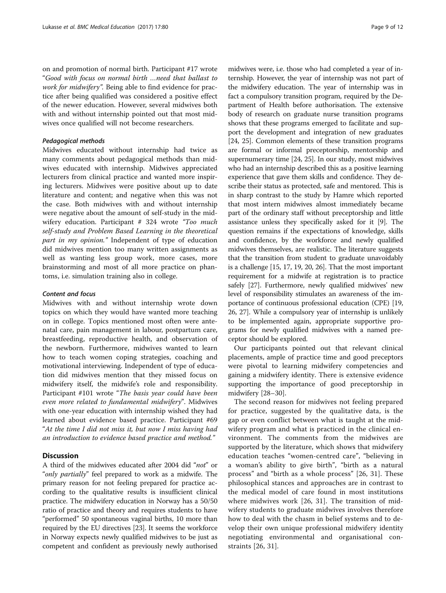on and promotion of normal birth. Participant #17 wrote "Good with focus on normal birth …need that ballast to work for midwifery". Being able to find evidence for practice after being qualified was considered a positive effect of the newer education. However, several midwives both with and without internship pointed out that most midwives once qualified will not become researchers.

## Pedagogical methods

Midwives educated without internship had twice as many comments about pedagogical methods than midwives educated with internship. Midwives appreciated lecturers from clinical practice and wanted more inspiring lecturers. Midwives were positive about up to date literature and content; and negative when this was not the case. Both midwives with and without internship were negative about the amount of self-study in the midwifery education. Participant # 324 wrote "Too much self-study and Problem Based Learning in the theoretical part in my opinion." Independent of type of education did midwives mention too many written assignments as well as wanting less group work, more cases, more brainstorming and most of all more practice on phantoms, i.e. simulation training also in college.

#### Content and focus

Midwives with and without internship wrote down topics on which they would have wanted more teaching on in college. Topics mentioned most often were antenatal care, pain management in labour, postpartum care, breastfeeding, reproductive health, and observation of the newborn. Furthermore, midwives wanted to learn how to teach women coping strategies, coaching and motivational interviewing. Independent of type of education did midwives mention that they missed focus on midwifery itself, the midwife's role and responsibility. Participant #101 wrote "The basis year could have been even more related to fundamental midwifery". Midwives with one-year education with internship wished they had learned about evidence based practice. Participant #69 "At the time I did not miss it, but now I miss having had an introduction to evidence based practice and method."

## Discussion

A third of the midwives educated after 2004 did "not" or "only partially" feel prepared to work as a midwife. The primary reason for not feeling prepared for practice according to the qualitative results is insufficient clinical practice. The midwifery education in Norway has a 50/50 ratio of practice and theory and requires students to have "performed" 50 spontaneous vaginal births, 10 more than required by the EU directives [[23](#page-10-0)]. It seems the workforce in Norway expects newly qualified midwives to be just as competent and confident as previously newly authorised

midwives were, i.e. those who had completed a year of internship. However, the year of internship was not part of the midwifery education. The year of internship was in fact a compulsory transition program, required by the Department of Health before authorisation. The extensive body of research on graduate nurse transition programs shows that these programs emerged to facilitate and support the development and integration of new graduates [[24](#page-10-0), [25\]](#page-10-0). Common elements of these transition programs are formal or informal preceptorship, mentorship and supernumerary time [\[24, 25](#page-10-0)]. In our study, most midwives who had an internship described this as a positive learning experience that gave them skills and confidence. They describe their status as protected, safe and mentored. This is in sharp contrast to the study by Hamre which reported that most intern midwives almost immediately became part of the ordinary staff without preceptorship and little assistance unless they specifically asked for it [\[9](#page-10-0)]. The question remains if the expectations of knowledge, skills and confidence, by the workforce and newly qualified midwives themselves, are realistic. The literature suggests that the transition from student to graduate unavoidably is a challenge [[15](#page-10-0), [17, 19](#page-10-0), [20,](#page-10-0) [26](#page-11-0)]. That the most important requirement for a midwife at registration is to practice safely [\[27\]](#page-11-0). Furthermore, newly qualified midwives' new level of responsibility stimulates an awareness of the importance of continuous professional education (CPE) [[19](#page-10-0), [26](#page-11-0), [27](#page-11-0)]. While a compulsory year of internship is unlikely to be implemented again, appropriate supportive programs for newly qualified midwives with a named preceptor should be explored.

Our participants pointed out that relevant clinical placements, ample of practice time and good preceptors were pivotal to learning midwifery competencies and gaining a midwifery identity. There is extensive evidence supporting the importance of good preceptorship in midwifery [[28](#page-11-0)–[30](#page-11-0)].

The second reason for midwives not feeling prepared for practice, suggested by the qualitative data, is the gap or even conflict between what is taught at the midwifery program and what is practiced in the clinical environment. The comments from the midwives are supported by the literature, which shows that midwifery education teaches "women-centred care", "believing in a woman's ability to give birth", "birth as a natural process" and "birth as a whole process" [[26, 31\]](#page-11-0). These philosophical stances and approaches are in contrast to the medical model of care found in most institutions where midwives work [\[26](#page-11-0), [31\]](#page-11-0). The transition of midwifery students to graduate midwives involves therefore how to deal with the chasm in belief systems and to develop their own unique professional midwifery identity negotiating environmental and organisational constraints [[26, 31\]](#page-11-0).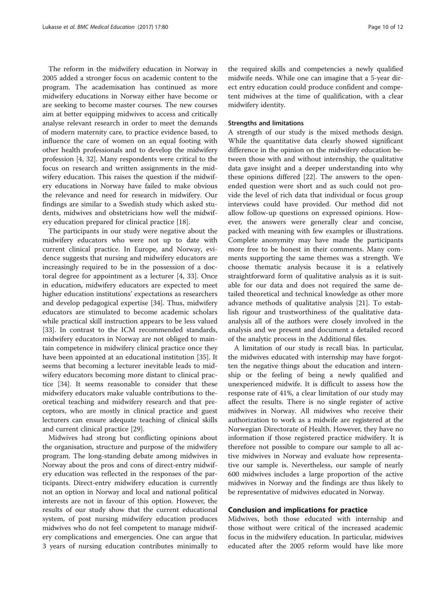The reform in the midwifery education in Norway in 2005 added a stronger focus on academic content to the program. The academisation has continued as more midwifery educations in Norway either have become or are seeking to become master courses. The new courses aim at better equipping midwives to access and critically analyse relevant research in order to meet the demands of modern maternity care, to practice evidence based, to influence the care of women on an equal footing with other health professionals and to develop the midwifery profession [[4,](#page-10-0) [32\]](#page-11-0). Many respondents were critical to the focus on research and written assignments in the midwifery education. This raises the question if the midwifery educations in Norway have failed to make obvious the relevance and need for research in midwifery. Our findings are similar to a Swedish study which asked students, midwives and obstetricians how well the midwifery education prepared for clinical practice [[18\]](#page-10-0).

The participants in our study were negative about the midwifery educators who were not up to date with current clinical practice. In Europe, and Norway, evidence suggests that nursing and midwifery educators are increasingly required to be in the possession of a doctoral degree for appointment as a lecturer [\[4](#page-10-0), [33\]](#page-11-0). Once in education, midwifery educators are expected to meet higher education institutions' expectations as researchers and develop pedagogical expertise [\[34](#page-11-0)]. Thus, midwifery educators are stimulated to become academic scholars while practical skill instruction appears to be less valued [[33\]](#page-11-0). In contrast to the ICM recommended standards, midwifery educators in Norway are not obliged to maintain competence in midwifery clinical practice once they have been appointed at an educational institution [[35\]](#page-11-0). It seems that becoming a lecturer inevitable leads to midwifery educators becoming more distant to clinical practice [\[34](#page-11-0)]. It seems reasonable to consider that these midwifery educators make valuable contributions to theoretical teaching and midwifery research and that preceptors, who are mostly in clinical practice and guest lecturers can ensure adequate teaching of clinical skills and current clinical practice [[29\]](#page-11-0).

Midwives had strong but conflicting opinions about the organisation, structure and purpose of the midwifery program. The long-standing debate among midwives in Norway about the pros and cons of direct-entry midwifery education was reflected in the responses of the participants. Direct-entry midwifery education is currently not an option in Norway and local and national political interests are not in favour of this option. However, the results of our study show that the current educational system, of post nursing midwifery education produces midwives who do not feel competent to manage midwifery complications and emergencies. One can argue that 3 years of nursing education contributes minimally to the required skills and competencies a newly qualified midwife needs. While one can imagine that a 5-year direct entry education could produce confident and competent midwives at the time of qualification, with a clear midwifery identity.

#### Strengths and limitations

A strength of our study is the mixed methods design. While the quantitative data clearly showed significant difference in the opinion on the midwifery education between those with and without internship, the qualitative data gave insight and a deeper understanding into why these opinions differed [\[22](#page-10-0)]. The answers to the openended question were short and as such could not provide the level of rich data that individual or focus group interviews could have provided. Our method did not allow follow-up questions on expressed opinions. However, the answers were generally clear and concise, packed with meaning with few examples or illustrations. Complete anonymity may have made the participants more free to be honest in their comments. Many comments supporting the same themes was a strength. We choose thematic analysis because it is a relatively straightforward form of qualitative analysis as it is suitable for our data and does not required the same detailed theoretical and technical knowledge as other more advance methods of qualitative analysis [[21\]](#page-10-0). To establish rigour and trustworthiness of the qualitative dataanalysis all of the authors were closely involved in the analysis and we present and document a detailed record of the analytic process in the Additional files.

A limitation of our study is recall bias. In particular, the midwives educated with internship may have forgotten the negative things about the education and internship or the feeling of being a newly qualified and unexperienced midwife. It is difficult to assess how the response rate of 41%, a clear limitation of our study may affect the results. There is no single register of active midwives in Norway. All midwives who receive their authorization to work as a midwife are registered at the Norwegian Directorate of Health. However, they have no information if those registered practice midwifery. It is therefore not possible to compare our sample to all active midwives in Norway and evaluate how representative our sample is. Nevertheless, our sample of nearly 600 midwives includes a large proportion of the active midwives in Norway and the findings are thus likely to be representative of midwives educated in Norway.

## Conclusion and implications for practice

Midwives, both those educated with internship and those without were critical of the increased academic focus in the midwifery education. In particular, midwives educated after the 2005 reform would have like more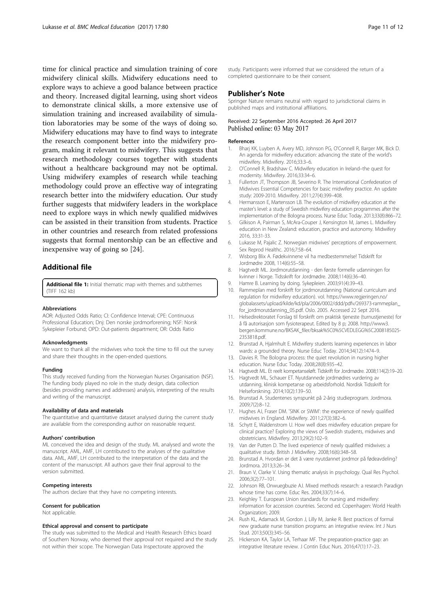<span id="page-10-0"></span>time for clinical practice and simulation training of core midwifery clinical skills. Midwifery educations need to explore ways to achieve a good balance between practice and theory. Increased digital learning, using short videos to demonstrate clinical skills, a more extensive use of simulation training and increased availability of simulation laboratories may be some of the ways of doing so. Midwifery educations may have to find ways to integrate the research component better into the midwifery program, making it relevant to midwifery. This suggests that research methodology courses together with students without a healthcare background may not be optimal. Using midwifery examples of research while teaching methodology could prove an effective way of integrating research better into the midwifery education. Our study further suggests that midwifery leaders in the workplace need to explore ways in which newly qualified midwives can be assisted in their transition from students. Practice in other countries and research from related professions suggests that formal mentorship can be an effective and inexpensive way of going so [24].

## Additional file

[Additional file 1:](dx.doi.org/10.1186/s12909-017-0917-0) Initial thematic map with themes and subthemes (TIFF 162 kb)

#### Abbreviations

AOR: Adjusted Odds Ratio; CI: Confidence Interval; CPE: Continuous Professional Education; Dnj: Den norske jordmorforening; NSF: Norsk Sykepleier Forbund; OPD: Out-patients department; OR: Odds Ratio

#### Acknowledgments

We want to thank all the midwives who took the time to fill out the survey and share their thoughts in the open-ended questions.

#### Funding

This study received funding from the Norwegian Nurses Organisation (NSF). The funding body played no role in the study design, data collection (besides providing names and addresses) analysis, interpreting of the results and writing of the manuscript.

#### Availability of data and materials

The quantitative and quantitative dataset analysed during the current study are available from the corresponding author on reasonable request.

#### Authors' contribution

ML conceived the idea and design of the study. ML analysed and wrote the manuscript. AML, AMF, LH contributed to the analyses of the qualitative data. AML, AMF, LH contributed to the interpretation of the data and the content of the manuscript. All authors gave their final approval to the version submitted.

#### Competing interests

The authors declare that they have no competing interests.

#### Consent for publication

Not applicable.

#### Ethical approval and consent to participate

The study was submitted to the Medical and Health Research Ethics board of Southern Norway, who deemed their approval not required and the study not within their scope. The Norwegian Data Inspectorate approved the

study. Participants were informed that we considered the return of a completed questionnaire to be their consent.

#### Publisher's Note

Springer Nature remains neutral with regard to jurisdictional claims in published maps and institutional affiliations.

#### Received: 22 September 2016 Accepted: 26 April 2017 Published online: 03 May 2017

#### References

- 1. Bharj KK, Luyben A, Avery MD, Johnson PG, O'Connell R, Barger MK, Bick D. An agenda for midwifery education: advancing the state of the world's midwifery. Midwifery. 2016;33:3–6.
- 2. O'Connell R, Bradshaw C. Midwifery education in Ireland–the quest for modernity. Midwifery. 2016;33:34–6.
- 3. Fullerton JT, Thompson JB, Severino R. The International Confederation of Midwives Essential Competencies for basic midwifery practice. An update study: 2009-2010. Midwifery. 2011;27(4):399–408.
- 4. Hermansson E, Martensson LB. The evolution of midwifery education at the master's level: a study of Swedish midwifery education programmes after the implementation of the Bologna process. Nurse Educ Today. 2013;33(8):866–72.
- 5. Gilkison A, Pairman S, McAra-Couper J, Kensington M, James L. Midwifery education in New Zealand: education, practice and autonomy. Midwifery 2016, 33:31-33.
- 6. Lukasse M, Pajalic Z. Norwegian midwives' perceptions of empowerment. Sex Reprod Healthc. 2016;7:58–64.
- 7. Wisborg Blix A. Fødekvinnene vil ha medbestemmelse! Tidskrift for Jordmødre 2008, 114(6):55–58.
- 8. Hagtvedt ML. Jordmorutdanning den første formelle udanningen for kvinner i Norge. Tidsskrift for Jordmødre. 2008;114(6):36–40.
- 9. Hamre B. Learning by doing. Sykepleien. 2003;91(4):39–43.
- 10. Rammeplan med forskrift for jordmorutdanning (National curriculum and regulation for midwifery education). vol. [https://www.regjeringen.no/](https://www.regjeringen.no/globalassets/upload/kilde/kd/pla/2006/0002/ddd/pdfv/269373-rammeplan_for_jordmorutdanning_05.pdf) [globalassets/upload/kilde/kd/pla/2006/0002/ddd/pdfv/269373-rammeplan\\_](https://www.regjeringen.no/globalassets/upload/kilde/kd/pla/2006/0002/ddd/pdfv/269373-rammeplan_for_jordmorutdanning_05.pdf) [for\\_jordmorutdanning\\_05.pdf.](https://www.regjeringen.no/globalassets/upload/kilde/kd/pla/2006/0002/ddd/pdfv/269373-rammeplan_for_jordmorutdanning_05.pdf) Oslo. 2005. Accessed 22 Sept 2016.
- 11. Helsedirektoratet Forslag til forskrift om praktisk tjeneste (turnustjeneste) for å få autorisasjon som fysioterapeut. Edited by 8 p; 2008. [http://www3.](http://www3.bergen.kommune.no/BKSAK_filer/bksak%5C0%5CVEDLEGG%5C2008185025-2353818.pdf) [bergen.kommune.no/BKSAK\\_filer/bksak%5C0%5CVEDLEGG%5C2008185025-](http://www3.bergen.kommune.no/BKSAK_filer/bksak%5C0%5CVEDLEGG%5C2008185025-2353818.pdf) [2353818.pdf](http://www3.bergen.kommune.no/BKSAK_filer/bksak%5C0%5CVEDLEGG%5C2008185025-2353818.pdf).
- 12. Brunstad A, Hjalmhult E. Midwifery students learning experiences in labor wards: a grounded theory. Nurse Educ Today. 2014;34(12):1474–9.
- 13. Davies R. The Bologna process: the quiet revolution in nursing higher education. Nurse Educ Today. 2008;28(8):935–42.
- 14. Hagtvedt ML. Et reelt kompetanseløft. Tidskrift for Jordmødre. 2008;114(2):19–20.
- 15. Hagtvedt ML, Schauer ET. Nyutdannede jordmødres vurdering av utdanning, klinisk kompetanse og arbeidsforhold. Nordisk Tidsskrift for Helseforskning. 2014;10(2):139–50.
- 16. Brunstad A. Studentenes synspunkt på 2-årig studieprogram. Jordmora. 2009;7(2):8–12.
- 17. Hughes AJ, Fraser DM. 'SINK or SWIM': the experience of newly qualified midwives in England. Midwifery. 2011;27(3):382–6.
- 18. Schytt E, Waldenstrom U. How well does midwifery education prepare for clinical practice? Exploring the views of Swedish students, midwives and obstetricians. Midwifery. 2013;29(2):102–9.
- 19. Van der Putten D. The lived experience of newly qualified midwives: a qualitative study. British J Midwifery. 2008;16(6):348–58.
- 20. Brunstad A. Hvordan er det å være nyutdannet jordmor på fødeavdeling? Jordmora. 2013;3:26–34.
- 21. Braun V, Clarke V. Using thematic analysis in psychology. Qual Res Psychol. 2006;3(2):77–101.
- 22. Johnson RB, Onwuegbuzie AJ. Mixed methods research: a research Paradign whose time has come. Educ Res. 2004;33(7):14–6.
- 23. Keighley T. European Union standards for nursing and midwifery: information for accession countries. Second ed. Copenhagen: World Health Organization; 2009.
- 24. Rush KL, Adamack M, Gordon J, Lilly M, Janke R. Best practices of formal new graduate nurse transition programs: an integrative review. Int J Nurs Stud. 2013;50(3):345–56.
- 25. Hickerson KA, Taylor LA, Terhaar MF. The preparation-practice gap: an integrative literature review. J Contin Educ Nurs. 2016;47(1):17–23.